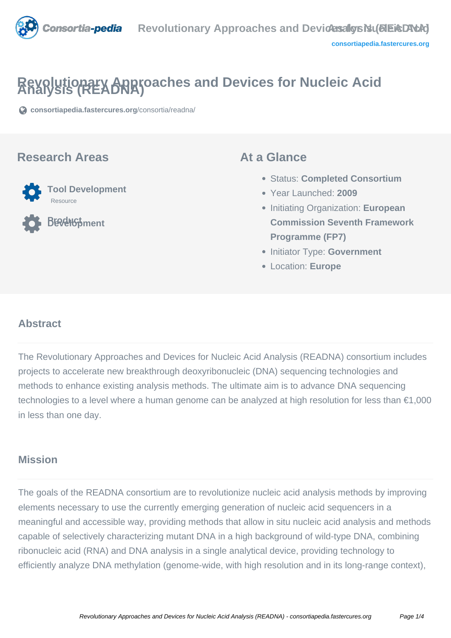

# **Revolutionary Approaches and Devices for Nucleic Acid Analysis (READNA)**

**[consortiapedia.fastercures.org](https://consortiapedia.fastercures.org/consortia/readna/)**[/consortia/readna/](https://consortiapedia.fastercures.org/consortia/readna/)

#### **Research Areas**



**Product Development**

#### **At a Glance**

- Status: **Completed Consortium**
- Year Launched: **2009**
- Initiating Organization: **European Commission Seventh Framework Programme (FP7)**
- **Initiator Type: Government**
- Location: **Europe**

#### $\overline{a}$ **Abstract**

The Revolutionary Approaches and Devices for Nucleic Acid Analysis (READNA) consortium includes projects to accelerate new breakthrough deoxyribonucleic (DNA) sequencing technologies and methods to enhance existing analysis methods. The ultimate aim is to advance DNA sequencing technologies to a level where a human genome can be analyzed at high resolution for less than €1,000 in less than one day.

# **Mission**

The goals of the READNA consortium are to revolutionize nucleic acid analysis methods by improving elements necessary to use the currently emerging generation of nucleic acid sequencers in a meaningful and accessible way, providing methods that allow in situ nucleic acid analysis and methods capable of selectively characterizing mutant DNA in a high background of wild-type DNA, combining ribonucleic acid (RNA) and DNA analysis in a single analytical device, providing technology to efficiently analyze DNA methylation (genome-wide, with high resolution and in its long-range context),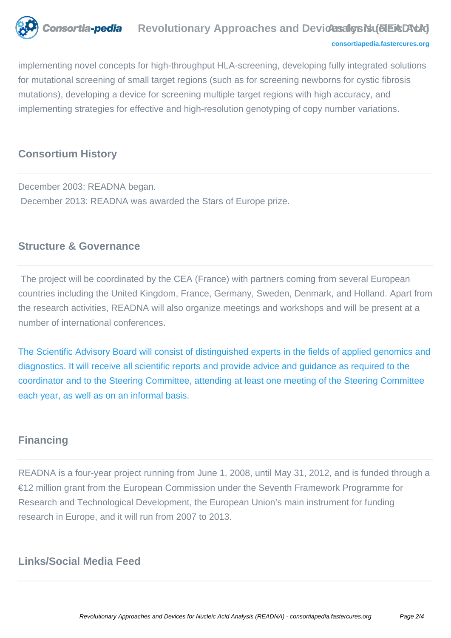

#### **[consortiapedia.fastercures.org](http://consortiapedia.fastercures.org/)**

implementing novel concepts for high-throughput HLA-screening, developing fully integrated solutions for mutational screening of small target regions (such as for screening newborns for cystic fibrosis mutations), developing a device for screening multiple target regions with high accuracy, and implementing strategies for effective and high-resolution genotyping of copy number variations.

## **Consortium History**

December 2003: READNA began. December 2013: READNA was awarded the Stars of Europe prize.

## **Structure & Governance**

 The project will be coordinated by the CEA (France) with partners coming from several European countries including the United Kingdom, France, Germany, Sweden, Denmark, and Holland. Apart from the research activities, READNA will also organize meetings and workshops and will be present at a number of international conferences.

[The Scientific Advisory Board will consist of distinguished experts in the fields of applied genomics and](http://www.cng.fr/READNA) [diagnostics. It will receive all scientific reports and provide advice and guidance as required to the](http://www.cng.fr/READNA) [coordinator and to the Steering Committee, attending at least one meeting of the Steering Committee](http://www.cng.fr/READNA) [each year, as well as on an informal basis.](http://www.cng.fr/READNA)

## **Financing**

READNA is a four-year project running from June 1, 2008, until May 31, 2012, and is funded through a €12 million grant from the European Commission under the Seventh Framework Programme for Research and Technological Development, the European Union's main instrument for funding research in Europe, and it will run from 2007 to 2013.

## **Links/Social Media Feed**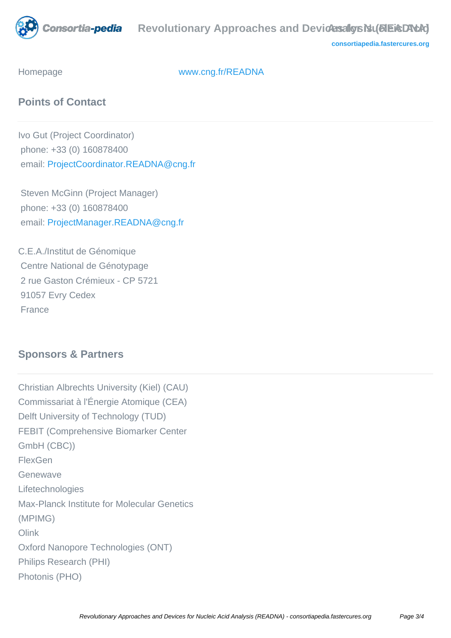

**[consortiapedia.fastercures.org](http://consortiapedia.fastercures.org/)**

Homepage [www.cng.fr/READNA](http://www.cng.fr/READNA)

# **Points of Contact**

Ivo Gut (Project Coordinator) phone: +33 (0) 160878400 email: [ProjectCoordinator.READNA@cng.fr](mailto:ProjectCoordinator.READNA@cng.fr)

 Steven McGinn (Project Manager) phone: +33 (0) 160878400 email: [ProjectManager.READNA@cng.fr](mailto:ProjectManager.READNA@cng.fr)

C.E.A./Institut de Génomique Centre National de Génotypage 2 rue Gaston Crémieux - CP 5721 91057 Evry Cedex France

# **Sponsors & Partners**

Christian Albrechts University (Kiel) (CAU) Commissariat à l'Énergie Atomique (CEA) Delft University of Technology (TUD) FEBIT (Comprehensive Biomarker Center GmbH (CBC)) **FlexGen** Genewave Lifetechnologies Max-Planck Institute for Molecular Genetics (MPIMG) **Olink** Oxford Nanopore Technologies (ONT) Philips Research (PHI) Photonis (PHO)